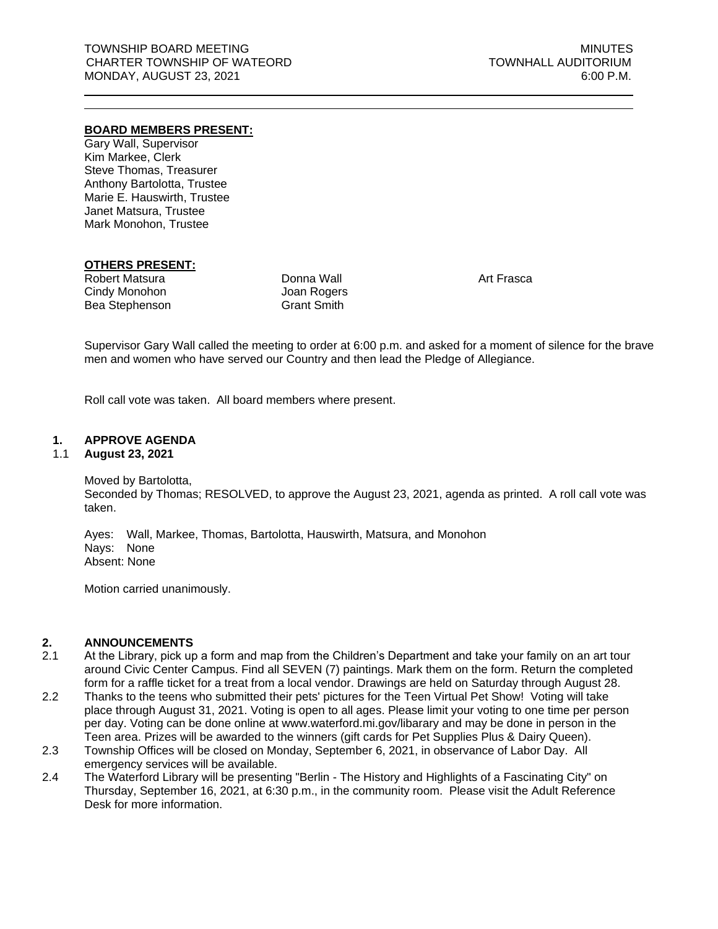#### **BOARD MEMBERS PRESENT:**

Gary Wall, Supervisor Kim Markee, Clerk Steve Thomas, Treasurer Anthony Bartolotta, Trustee Marie E. Hauswirth, Trustee Janet Matsura, Trustee Mark Monohon, Trustee

#### **OTHERS PRESENT:**

Robert Matsura Cindy Monohon Bea Stephenson

Donna Wall Joan Rogers Grant Smith

Art Frasca

Supervisor Gary Wall called the meeting to order at 6:00 p.m. and asked for a moment of silence for the brave men and women who have served our Country and then lead the Pledge of Allegiance.

Roll call vote was taken. All board members where present.

#### **1. APPROVE AGENDA**

#### 1.1 **August 23, 2021**

Moved by Bartolotta, Seconded by Thomas; RESOLVED, to approve the August 23, 2021, agenda as printed. A roll call vote was taken.

Ayes: Wall, Markee, Thomas, Bartolotta, Hauswirth, Matsura, and Monohon Nays: None Absent: None

Motion carried unanimously.

#### **2. ANNOUNCEMENTS**

- 2.1 At the Library, pick up a form and map from the Children's Department and take your family on an art tour around Civic Center Campus. Find all SEVEN (7) paintings. Mark them on the form. Return the completed form for a raffle ticket for a treat from a local vendor. Drawings are held on Saturday through August 28.
- 2.2 Thanks to the teens who submitted their pets' pictures for the Teen Virtual Pet Show! Voting will take place through August 31, 2021. Voting is open to all ages. Please limit your voting to one time per person per day. Voting can be done online at www.waterford.mi.gov/libarary and may be done in person in the Teen area. Prizes will be awarded to the winners (gift cards for Pet Supplies Plus & Dairy Queen).
- 2.3 Township Offices will be closed on Monday, September 6, 2021, in observance of Labor Day. All emergency services will be available.
- 2.4 The Waterford Library will be presenting "Berlin The History and Highlights of a Fascinating City" on Thursday, September 16, 2021, at 6:30 p.m., in the community room. Please visit the Adult Reference Desk for more information.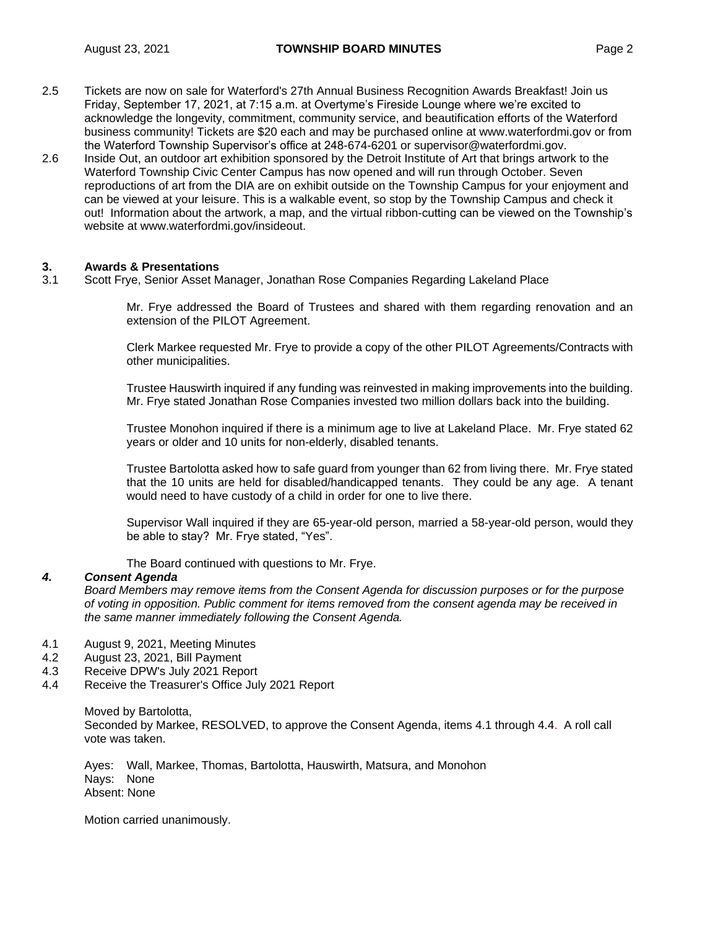- 2.5 Tickets are now on sale for Waterford's 27th Annual Business Recognition Awards Breakfast! Join us Friday, September 17, 2021, at 7:15 a.m. at Overtyme's Fireside Lounge where we're excited to acknowledge the longevity, commitment, community service, and beautification efforts of the Waterford business community! Tickets are \$20 each and may be purchased online at www.waterfordmi.gov or from the Waterford Township Supervisor's office at 248-674-6201 or [supervisor@waterfordmi.gov.](mailto:supervisor@waterfordmi.gov)
- 2.6 Inside Out, an outdoor art exhibition sponsored by the Detroit Institute of Art that brings artwork to the Waterford Township Civic Center Campus has now opened and will run through October. Seven reproductions of art from the DIA are on exhibit outside on the Township Campus for your enjoyment and can be viewed at your leisure. This is a walkable event, so stop by the Township Campus and check it out! Information about the artwork, a map, and the virtual ribbon-cutting can be viewed on the Township's website at [www.waterfordmi.gov/insideout.](http://www.waterfordmi.gov/insideout)

# **3. Awards & Presentations**

3.1 Scott Frye, Senior Asset Manager, Jonathan Rose Companies Regarding Lakeland Place

Mr. Frye addressed the Board of Trustees and shared with them regarding renovation and an extension of the PILOT Agreement.

Clerk Markee requested Mr. Frye to provide a copy of the other PILOT Agreements/Contracts with other municipalities.

Trustee Hauswirth inquired if any funding was reinvested in making improvements into the building. Mr. Frye stated Jonathan Rose Companies invested two million dollars back into the building.

Trustee Monohon inquired if there is a minimum age to live at Lakeland Place. Mr. Frye stated 62 years or older and 10 units for non-elderly, disabled tenants.

Trustee Bartolotta asked how to safe guard from younger than 62 from living there. Mr. Frye stated that the 10 units are held for disabled/handicapped tenants. They could be any age. A tenant would need to have custody of a child in order for one to live there.

Supervisor Wall inquired if they are 65-year-old person, married a 58-year-old person, would they be able to stay? Mr. Frye stated, "Yes".

The Board continued with questions to Mr. Frye.

# *4. Consent Agenda*

*Board Members may remove items from the Consent Agenda for discussion purposes or for the purpose of voting in opposition. Public comment for items removed from the consent agenda may be received in the same manner immediately following the Consent Agenda.*

- 4.1 August 9, 2021, Meeting Minutes
- 4.2 August 23, 2021, Bill Payment
- 4.3 Receive DPW's July 2021 Report
- 4.4 Receive the Treasurer's Office July 2021 Report

Moved by Bartolotta, Seconded by Markee, RESOLVED, to approve the Consent Agenda, items 4.1 through 4.4. A roll call vote was taken.

Ayes: Wall, Markee, Thomas, Bartolotta, Hauswirth, Matsura, and Monohon Nays: None Absent: None

Motion carried unanimously.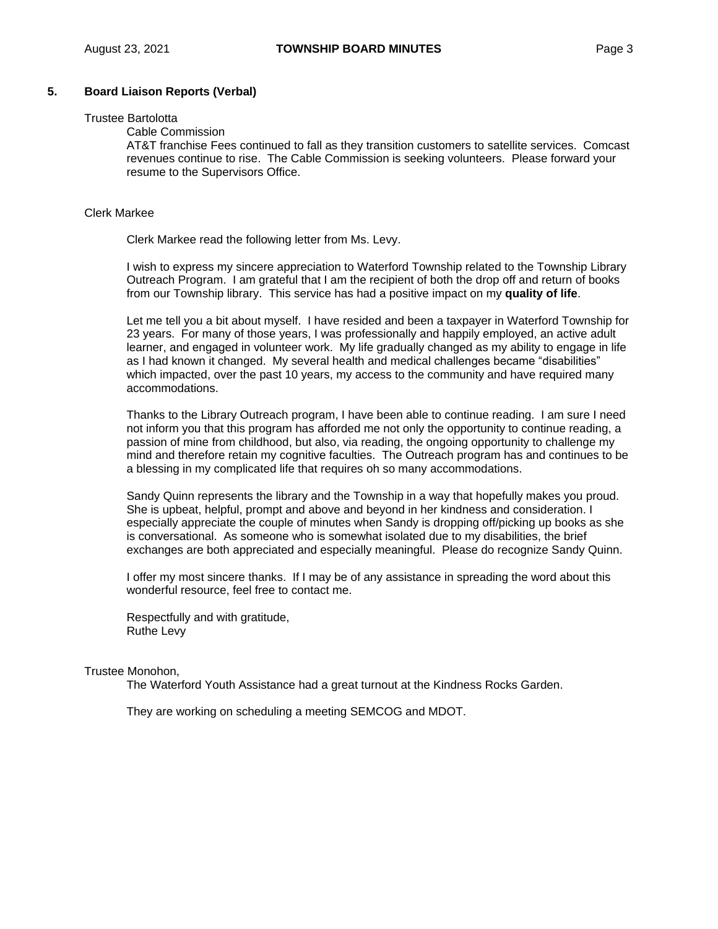# **5. Board Liaison Reports (Verbal)**

# Trustee Bartolotta

# Cable Commission

AT&T franchise Fees continued to fall as they transition customers to satellite services. Comcast revenues continue to rise. The Cable Commission is seeking volunteers. Please forward your resume to the Supervisors Office.

#### Clerk Markee

Clerk Markee read the following letter from Ms. Levy.

I wish to express my sincere appreciation to Waterford Township related to the Township Library Outreach Program. I am grateful that I am the recipient of both the drop off and return of books from our Township library. This service has had a positive impact on my **quality of life**.

Let me tell you a bit about myself. I have resided and been a taxpayer in Waterford Township for 23 years. For many of those years, I was professionally and happily employed, an active adult learner, and engaged in volunteer work. My life gradually changed as my ability to engage in life as I had known it changed. My several health and medical challenges became "disabilities" which impacted, over the past 10 years, my access to the community and have required many accommodations.

Thanks to the Library Outreach program, I have been able to continue reading. I am sure I need not inform you that this program has afforded me not only the opportunity to continue reading, a passion of mine from childhood, but also, via reading, the ongoing opportunity to challenge my mind and therefore retain my cognitive faculties. The Outreach program has and continues to be a blessing in my complicated life that requires oh so many accommodations.

Sandy Quinn represents the library and the Township in a way that hopefully makes you proud. She is upbeat, helpful, prompt and above and beyond in her kindness and consideration. I especially appreciate the couple of minutes when Sandy is dropping off/picking up books as she is conversational. As someone who is somewhat isolated due to my disabilities, the brief exchanges are both appreciated and especially meaningful. Please do recognize Sandy Quinn.

I offer my most sincere thanks. If I may be of any assistance in spreading the word about this wonderful resource, feel free to contact me.

Respectfully and with gratitude, Ruthe Levy

#### Trustee Monohon,

The Waterford Youth Assistance had a great turnout at the Kindness Rocks Garden.

They are working on scheduling a meeting SEMCOG and MDOT.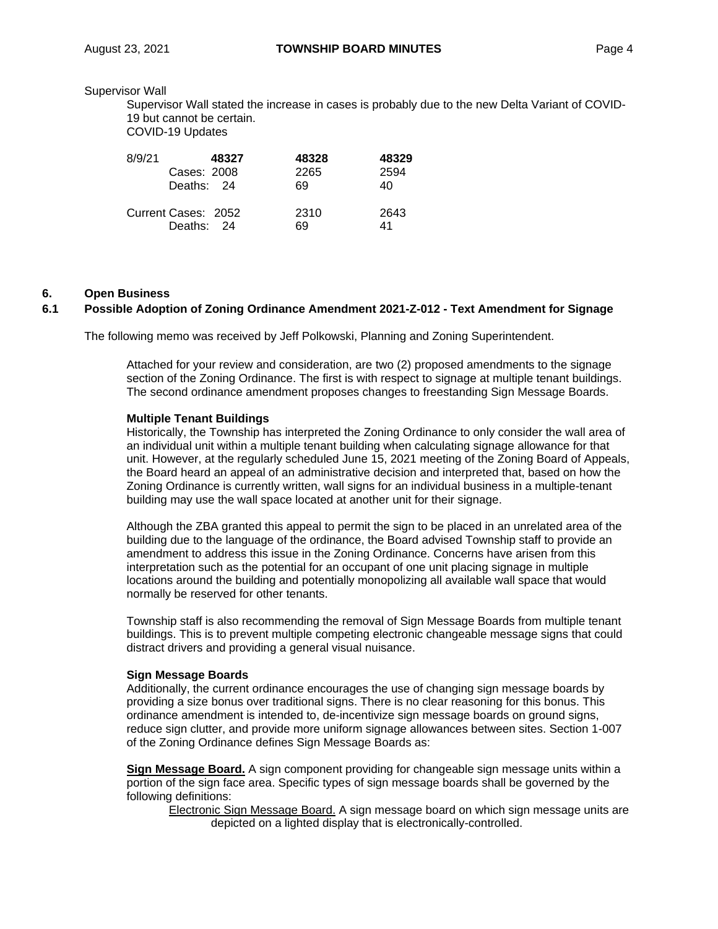#### Supervisor Wall

Supervisor Wall stated the increase in cases is probably due to the new Delta Variant of COVID-19 but cannot be certain.

COVID-19 Updates

| 8/9/21 | 48327                             | 48328      | 48329      |
|--------|-----------------------------------|------------|------------|
|        | Cases: 2008                       | 2265       | 2594       |
|        | Deaths: 24                        | 69         | 40         |
|        | Current Cases: 2052<br>Deaths: 24 | 2310<br>69 | 2643<br>41 |

#### **6. Open Business**

# **6.1 Possible Adoption of Zoning Ordinance Amendment 2021-Z-012 - Text Amendment for Signage**

The following memo was received by Jeff Polkowski, Planning and Zoning Superintendent.

Attached for your review and consideration, are two (2) proposed amendments to the signage section of the Zoning Ordinance. The first is with respect to signage at multiple tenant buildings. The second ordinance amendment proposes changes to freestanding Sign Message Boards.

#### **Multiple Tenant Buildings**

Historically, the Township has interpreted the Zoning Ordinance to only consider the wall area of an individual unit within a multiple tenant building when calculating signage allowance for that unit. However, at the regularly scheduled June 15, 2021 meeting of the Zoning Board of Appeals, the Board heard an appeal of an administrative decision and interpreted that, based on how the Zoning Ordinance is currently written, wall signs for an individual business in a multiple-tenant building may use the wall space located at another unit for their signage.

Although the ZBA granted this appeal to permit the sign to be placed in an unrelated area of the building due to the language of the ordinance, the Board advised Township staff to provide an amendment to address this issue in the Zoning Ordinance. Concerns have arisen from this interpretation such as the potential for an occupant of one unit placing signage in multiple locations around the building and potentially monopolizing all available wall space that would normally be reserved for other tenants.

Township staff is also recommending the removal of Sign Message Boards from multiple tenant buildings. This is to prevent multiple competing electronic changeable message signs that could distract drivers and providing a general visual nuisance.

#### **Sign Message Boards**

Additionally, the current ordinance encourages the use of changing sign message boards by providing a size bonus over traditional signs. There is no clear reasoning for this bonus. This ordinance amendment is intended to, de-incentivize sign message boards on ground signs, reduce sign clutter, and provide more uniform signage allowances between sites. Section 1-007 of the Zoning Ordinance defines Sign Message Boards as:

**Sign Message Board.** A sign component providing for changeable sign message units within a portion of the sign face area. Specific types of sign message boards shall be governed by the following definitions:

Electronic Sign Message Board. A sign message board on which sign message units are depicted on a lighted display that is electronically-controlled.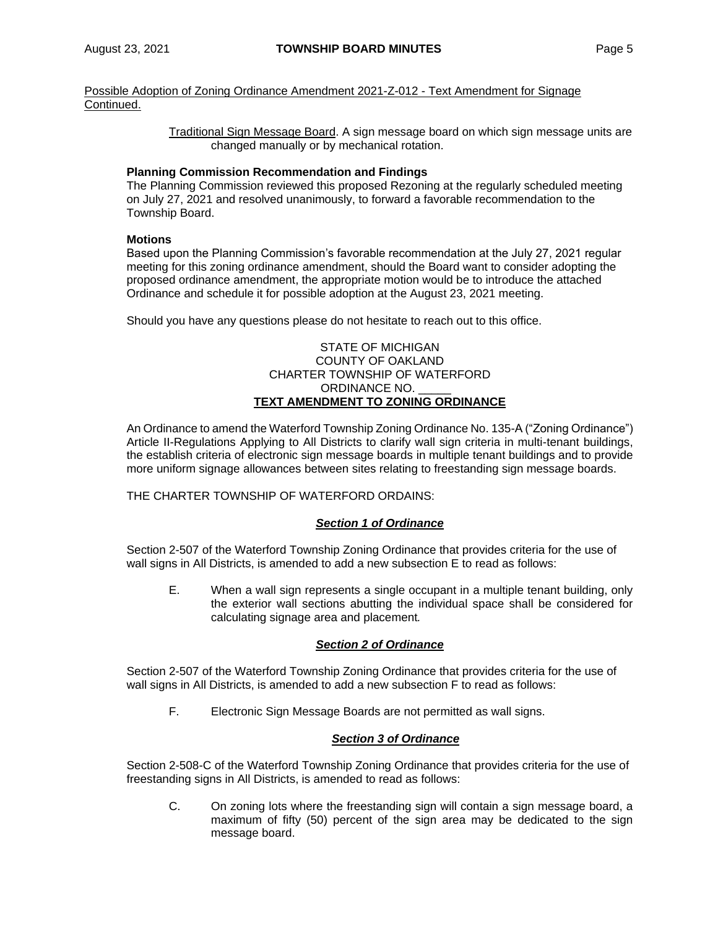Possible Adoption of Zoning Ordinance Amendment 2021-Z-012 - Text Amendment for Signage Continued.

> Traditional Sign Message Board. A sign message board on which sign message units are changed manually or by mechanical rotation.

#### **Planning Commission Recommendation and Findings**

The Planning Commission reviewed this proposed Rezoning at the regularly scheduled meeting on July 27, 2021 and resolved unanimously, to forward a favorable recommendation to the Township Board.

#### **Motions**

Based upon the Planning Commission's favorable recommendation at the July 27, 2021 regular meeting for this zoning ordinance amendment, should the Board want to consider adopting the proposed ordinance amendment, the appropriate motion would be to introduce the attached Ordinance and schedule it for possible adoption at the August 23, 2021 meeting.

Should you have any questions please do not hesitate to reach out to this office.

#### STATE OF MICHIGAN COUNTY OF OAKLAND CHARTER TOWNSHIP OF WATERFORD ORDINANCE NO. **TEXT AMENDMENT TO ZONING ORDINANCE**

An Ordinance to amend the Waterford Township Zoning Ordinance No. 135-A ("Zoning Ordinance") Article II-Regulations Applying to All Districts to clarify wall sign criteria in multi-tenant buildings, the establish criteria of electronic sign message boards in multiple tenant buildings and to provide more uniform signage allowances between sites relating to freestanding sign message boards.

THE CHARTER TOWNSHIP OF WATERFORD ORDAINS:

# *Section 1 of Ordinance*

Section 2-507 of the Waterford Township Zoning Ordinance that provides criteria for the use of wall signs in All Districts, is amended to add a new subsection E to read as follows:

E. When a wall sign represents a single occupant in a multiple tenant building, only the exterior wall sections abutting the individual space shall be considered for calculating signage area and placement*.*

# *Section 2 of Ordinance*

Section 2-507 of the Waterford Township Zoning Ordinance that provides criteria for the use of wall signs in All Districts, is amended to add a new subsection F to read as follows:

F. Electronic Sign Message Boards are not permitted as wall signs.

# *Section 3 of Ordinance*

Section 2-508-C of the Waterford Township Zoning Ordinance that provides criteria for the use of freestanding signs in All Districts, is amended to read as follows:

C. On zoning lots where the freestanding sign will contain a sign message board, a maximum of fifty (50) percent of the sign area may be dedicated to the sign message board.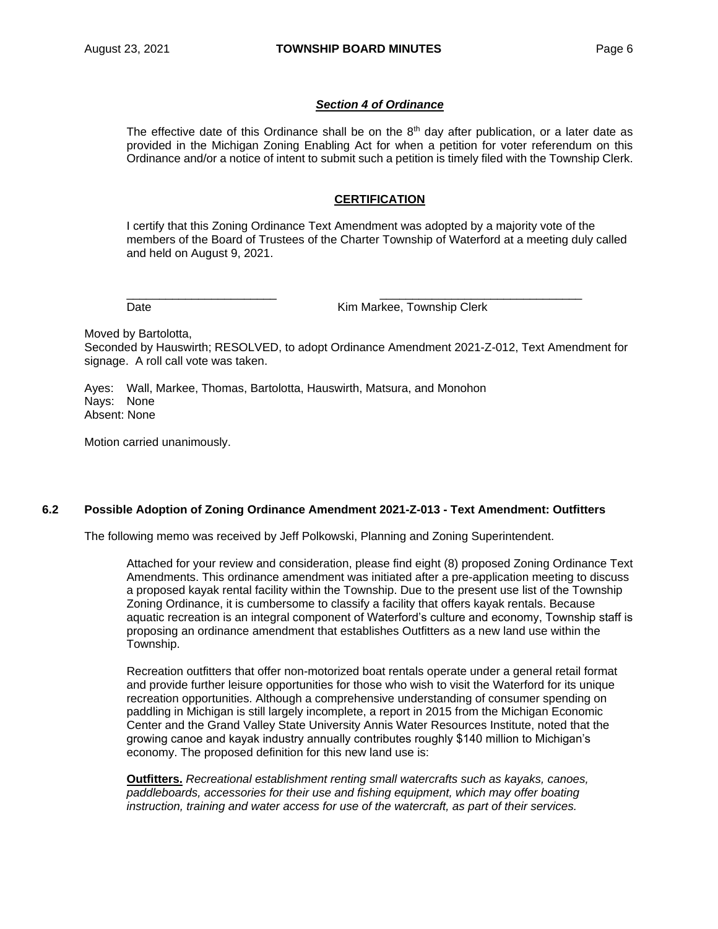#### *Section 4 of Ordinance*

The effective date of this Ordinance shall be on the  $8<sup>th</sup>$  day after publication, or a later date as provided in the Michigan Zoning Enabling Act for when a petition for voter referendum on this Ordinance and/or a notice of intent to submit such a petition is timely filed with the Township Clerk.

#### **CERTIFICATION**

I certify that this Zoning Ordinance Text Amendment was adopted by a majority vote of the members of the Board of Trustees of the Charter Township of Waterford at a meeting duly called and held on August 9, 2021.

Date **Date Kim Markee, Township Clerk** 

Moved by Bartolotta,

Seconded by Hauswirth; RESOLVED, to adopt Ordinance Amendment 2021-Z-012, Text Amendment for signage. A roll call vote was taken.

\_\_\_\_\_\_\_\_\_\_\_\_\_\_\_\_\_\_\_\_\_\_\_ \_\_\_\_\_\_\_\_\_\_\_\_\_\_\_\_\_\_\_\_\_\_\_\_\_\_\_\_\_\_\_

Ayes: Wall, Markee, Thomas, Bartolotta, Hauswirth, Matsura, and Monohon Nays: None Absent: None

Motion carried unanimously.

#### **6.2 Possible Adoption of Zoning Ordinance Amendment 2021-Z-013 - Text Amendment: Outfitters**

The following memo was received by Jeff Polkowski, Planning and Zoning Superintendent.

Attached for your review and consideration, please find eight (8) proposed Zoning Ordinance Text Amendments. This ordinance amendment was initiated after a pre-application meeting to discuss a proposed kayak rental facility within the Township. Due to the present use list of the Township Zoning Ordinance, it is cumbersome to classify a facility that offers kayak rentals. Because aquatic recreation is an integral component of Waterford's culture and economy, Township staff is proposing an ordinance amendment that establishes Outfitters as a new land use within the Township.

Recreation outfitters that offer non-motorized boat rentals operate under a general retail format and provide further leisure opportunities for those who wish to visit the Waterford for its unique recreation opportunities. Although a comprehensive understanding of consumer spending on paddling in Michigan is still largely incomplete, a report in 2015 from the Michigan Economic Center and the Grand Valley State University Annis Water Resources Institute, noted that the growing canoe and kayak industry annually contributes roughly \$140 million to Michigan's economy. The proposed definition for this new land use is:

**Outfitters.** *Recreational establishment renting small watercrafts such as kayaks, canoes, paddleboards, accessories for their use and fishing equipment, which may offer boating instruction, training and water access for use of the watercraft, as part of their services.*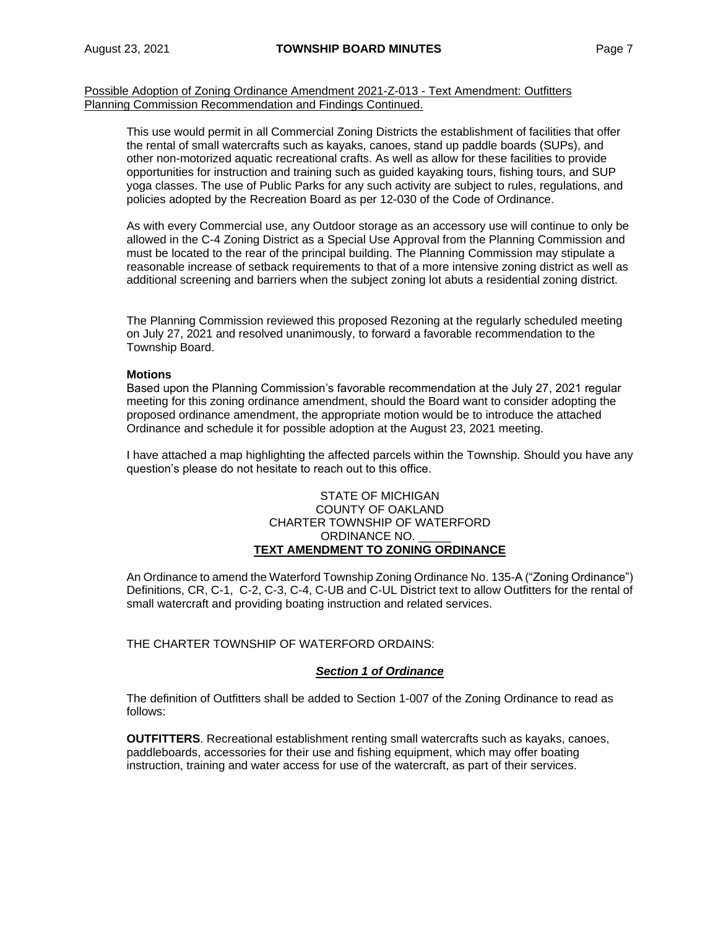Possible Adoption of Zoning Ordinance Amendment 2021-Z-013 - Text Amendment: Outfitters Planning Commission Recommendation and Findings Continued.

This use would permit in all Commercial Zoning Districts the establishment of facilities that offer the rental of small watercrafts such as kayaks, canoes, stand up paddle boards (SUPs), and other non-motorized aquatic recreational crafts. As well as allow for these facilities to provide opportunities for instruction and training such as guided kayaking tours, fishing tours, and SUP yoga classes. The use of Public Parks for any such activity are subject to rules, regulations, and policies adopted by the Recreation Board as per 12-030 of the Code of Ordinance.

As with every Commercial use, any Outdoor storage as an accessory use will continue to only be allowed in the C-4 Zoning District as a Special Use Approval from the Planning Commission and must be located to the rear of the principal building. The Planning Commission may stipulate a reasonable increase of setback requirements to that of a more intensive zoning district as well as additional screening and barriers when the subject zoning lot abuts a residential zoning district.

The Planning Commission reviewed this proposed Rezoning at the regularly scheduled meeting on July 27, 2021 and resolved unanimously, to forward a favorable recommendation to the Township Board.

#### **Motions**

Based upon the Planning Commission's favorable recommendation at the July 27, 2021 regular meeting for this zoning ordinance amendment, should the Board want to consider adopting the proposed ordinance amendment, the appropriate motion would be to introduce the attached Ordinance and schedule it for possible adoption at the August 23, 2021 meeting.

I have attached a map highlighting the affected parcels within the Township. Should you have any question's please do not hesitate to reach out to this office.

#### STATE OF MICHIGAN COUNTY OF OAKLAND CHARTER TOWNSHIP OF WATERFORD ORDINANCE NO. **TEXT AMENDMENT TO ZONING ORDINANCE**

An Ordinance to amend the Waterford Township Zoning Ordinance No. 135-A ("Zoning Ordinance") Definitions, CR, C-1, C-2, C-3, C-4, C-UB and C-UL District text to allow Outfitters for the rental of small watercraft and providing boating instruction and related services.

THE CHARTER TOWNSHIP OF WATERFORD ORDAINS:

#### *Section 1 of Ordinance*

The definition of Outfitters shall be added to Section 1-007 of the Zoning Ordinance to read as follows:

**OUTFITTERS**. Recreational establishment renting small watercrafts such as kayaks, canoes, paddleboards, accessories for their use and fishing equipment, which may offer boating instruction, training and water access for use of the watercraft, as part of their services.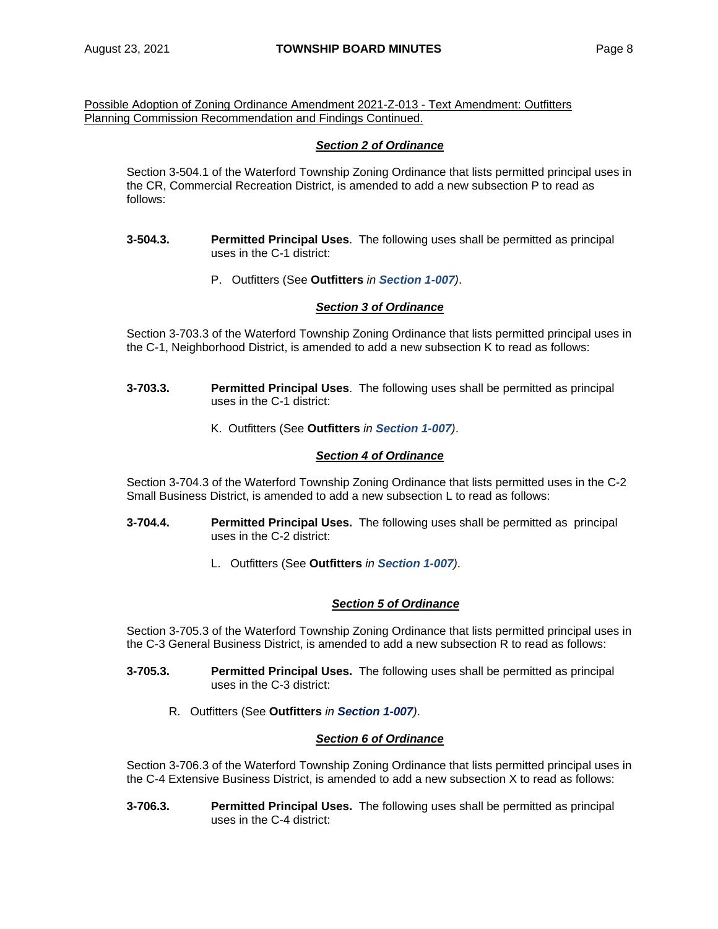Possible Adoption of Zoning Ordinance Amendment 2021-Z-013 - Text Amendment: Outfitters Planning Commission Recommendation and Findings Continued.

# *Section 2 of Ordinance*

Section 3-504.1 of the Waterford Township Zoning Ordinance that lists permitted principal uses in the CR, Commercial Recreation District, is amended to add a new subsection P to read as follows:

- **3-504.3. Permitted Principal Uses**. The following uses shall be permitted as principal uses in the C-1 district:
	- P. Outfitters (See **Outfitters** *in Section 1-007)*.

# *Section 3 of Ordinance*

Section 3-703.3 of the Waterford Township Zoning Ordinance that lists permitted principal uses in the C-1, Neighborhood District, is amended to add a new subsection K to read as follows:

- **3-703.3. Permitted Principal Uses**. The following uses shall be permitted as principal uses in the C-1 district:
	- K. Outfitters (See **Outfitters** *in Section 1-007)*.

#### *Section 4 of Ordinance*

Section 3-704.3 of the Waterford Township Zoning Ordinance that lists permitted uses in the C-2 Small Business District, is amended to add a new subsection L to read as follows:

- **3-704.4. Permitted Principal Uses.** The following uses shall be permitted as principal uses in the C-2 district:
	- L. Outfitters (See **Outfitters** *in Section 1-007)*.

# *Section 5 of Ordinance*

Section 3-705.3 of the Waterford Township Zoning Ordinance that lists permitted principal uses in the C-3 General Business District, is amended to add a new subsection R to read as follows:

- **3-705.3. Permitted Principal Uses.** The following uses shall be permitted as principal uses in the C-3 district:
	- R. Outfitters (See **Outfitters** *in Section 1-007)*.

# *Section 6 of Ordinance*

Section 3-706.3 of the Waterford Township Zoning Ordinance that lists permitted principal uses in the C-4 Extensive Business District, is amended to add a new subsection X to read as follows:

**3-706.3. Permitted Principal Uses.** The following uses shall be permitted as principal uses in the C-4 district: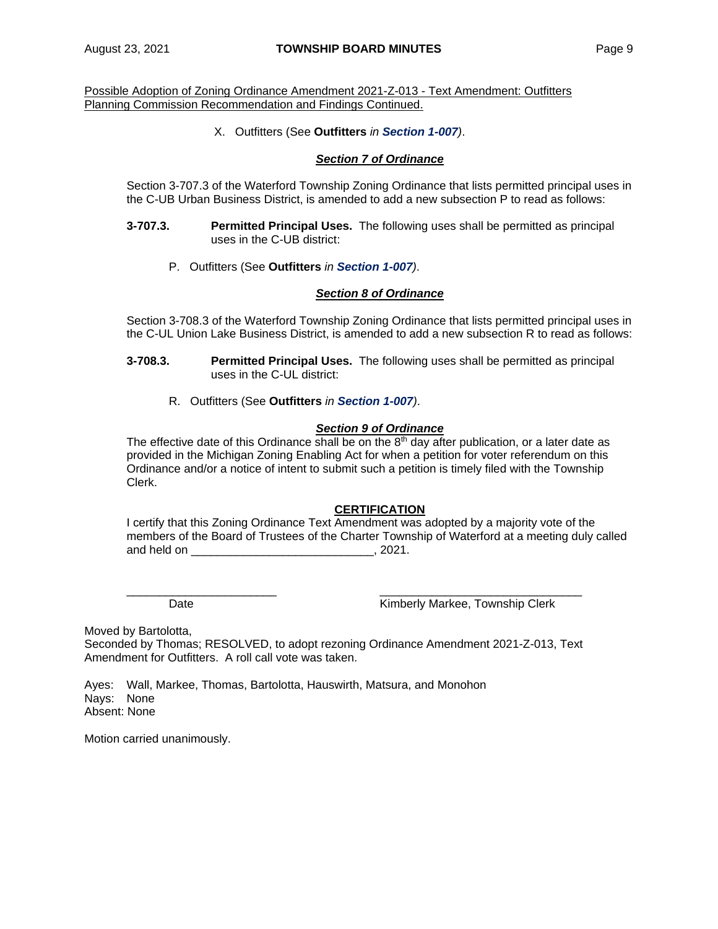Possible Adoption of Zoning Ordinance Amendment 2021-Z-013 - Text Amendment: Outfitters Planning Commission Recommendation and Findings Continued.

X. Outfitters (See **Outfitters** *in Section 1-007)*.

#### *Section 7 of Ordinance*

Section 3-707.3 of the Waterford Township Zoning Ordinance that lists permitted principal uses in the C-UB Urban Business District, is amended to add a new subsection P to read as follows:

- **3-707.3. Permitted Principal Uses.** The following uses shall be permitted as principal uses in the C-UB district:
	- P. Outfitters (See **Outfitters** *in Section 1-007)*.

# *Section 8 of Ordinance*

Section 3-708.3 of the Waterford Township Zoning Ordinance that lists permitted principal uses in the C-UL Union Lake Business District, is amended to add a new subsection R to read as follows:

- **3-708.3. Permitted Principal Uses.** The following uses shall be permitted as principal uses in the C-UL district:
	- R. Outfitters (See **Outfitters** *in Section 1-007)*.

#### *Section 9 of Ordinance*

The effective date of this Ordinance shall be on the  $8<sup>th</sup>$  day after publication, or a later date as provided in the Michigan Zoning Enabling Act for when a petition for voter referendum on this Ordinance and/or a notice of intent to submit such a petition is timely filed with the Township Clerk.

# **CERTIFICATION**

I certify that this Zoning Ordinance Text Amendment was adopted by a majority vote of the members of the Board of Trustees of the Charter Township of Waterford at a meeting duly called and held on example 2021.

\_\_\_\_\_\_\_\_\_\_\_\_\_\_\_\_\_\_\_\_\_\_\_ \_\_\_\_\_\_\_\_\_\_\_\_\_\_\_\_\_\_\_\_\_\_\_\_\_\_\_\_\_\_\_

Date **Contract Contract Contract Contract Contract Contract Contract Contract Contract Contract Contract Contract Contract Contract Contract Contract Contract Contract Contract Contract Contract Contract Contract Contract** 

Moved by Bartolotta,

Seconded by Thomas; RESOLVED, to adopt rezoning Ordinance Amendment 2021-Z-013, Text Amendment for Outfitters. A roll call vote was taken.

Ayes: Wall, Markee, Thomas, Bartolotta, Hauswirth, Matsura, and Monohon Nays: None Absent: None

Motion carried unanimously.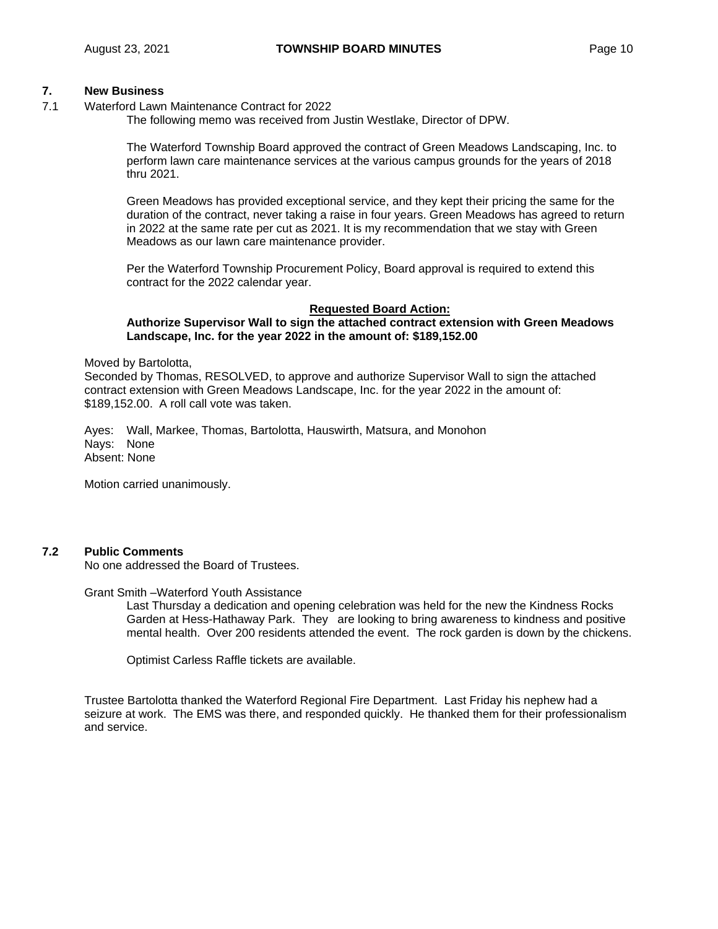# **7. New Business**

7.1 Waterford Lawn Maintenance Contract for 2022

The following memo was received from Justin Westlake, Director of DPW.

The Waterford Township Board approved the contract of Green Meadows Landscaping, Inc. to perform lawn care maintenance services at the various campus grounds for the years of 2018 thru 2021.

Green Meadows has provided exceptional service, and they kept their pricing the same for the duration of the contract, never taking a raise in four years. Green Meadows has agreed to return in 2022 at the same rate per cut as 2021. It is my recommendation that we stay with Green Meadows as our lawn care maintenance provider.

Per the Waterford Township Procurement Policy, Board approval is required to extend this contract for the 2022 calendar year.

#### **Requested Board Action:**

#### **Authorize Supervisor Wall to sign the attached contract extension with Green Meadows Landscape, Inc. for the year 2022 in the amount of: \$189,152.00**

Moved by Bartolotta,

Seconded by Thomas, RESOLVED, to approve and authorize Supervisor Wall to sign the attached contract extension with Green Meadows Landscape, Inc. for the year 2022 in the amount of: \$189,152.00. A roll call vote was taken.

Ayes: Wall, Markee, Thomas, Bartolotta, Hauswirth, Matsura, and Monohon Nays: None Absent: None

Motion carried unanimously.

# **7.2 Public Comments**

No one addressed the Board of Trustees.

Grant Smith –Waterford Youth Assistance

Last Thursday a dedication and opening celebration was held for the new the Kindness Rocks Garden at Hess-Hathaway Park. They are looking to bring awareness to kindness and positive mental health. Over 200 residents attended the event. The rock garden is down by the chickens.

Optimist Carless Raffle tickets are available.

Trustee Bartolotta thanked the Waterford Regional Fire Department. Last Friday his nephew had a seizure at work. The EMS was there, and responded quickly. He thanked them for their professionalism and service.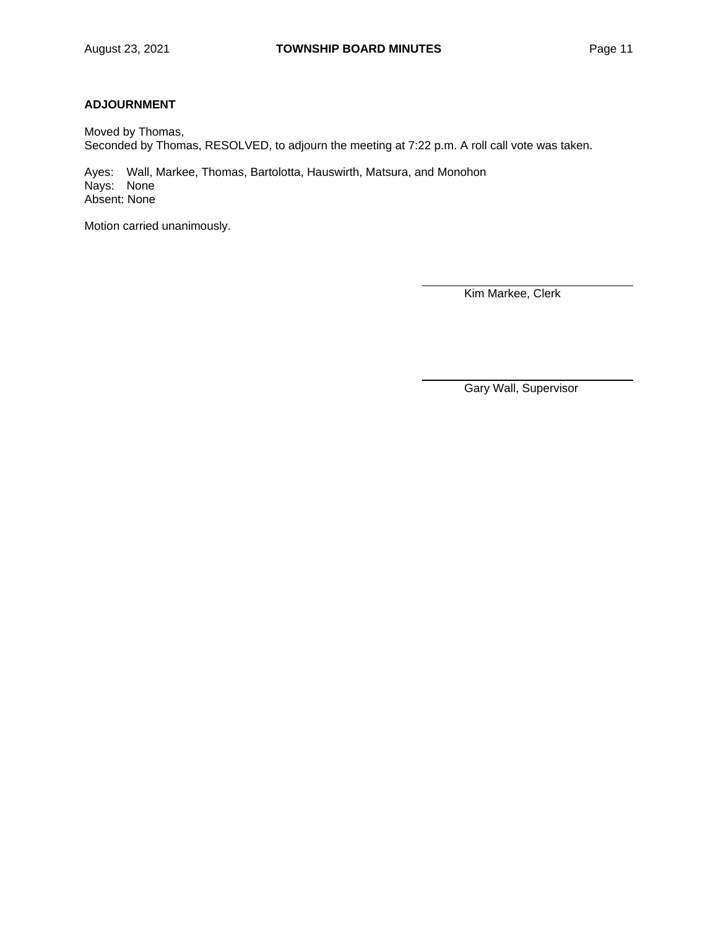# **ADJOURNMENT**

Moved by Thomas, Seconded by Thomas, RESOLVED, to adjourn the meeting at 7:22 p.m. A roll call vote was taken.

Ayes: Wall, Markee, Thomas, Bartolotta, Hauswirth, Matsura, and Monohon Nays: None Absent: None

Motion carried unanimously.

Kim Markee, Clerk

Gary Wall, Supervisor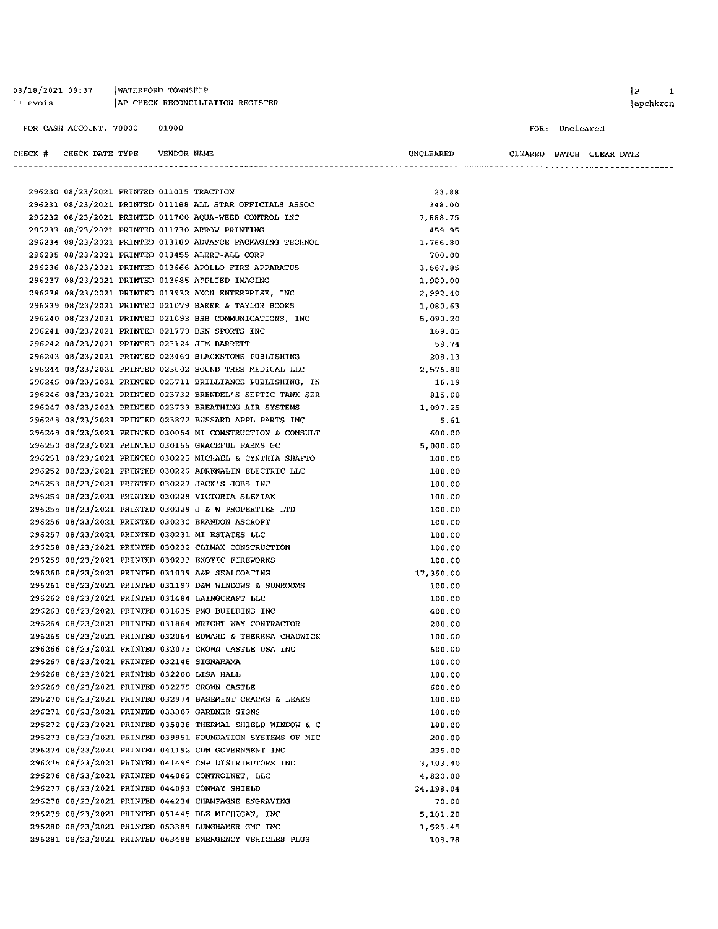| 08/18/2021 09:37 |  | WATERFORD TOWNSHIP               |  |
|------------------|--|----------------------------------|--|
| llievois         |  | AP CHECK RECONCILIATION REGISTER |  |
|                  |  |                                  |  |

CHECK # CHECK DATE TYPE VENDOR NAME

 $\sim$   $\sim$ 

#### FOR: Uncleared

UNCLEARED

CLEARED BATCH CLEAR DATE

| 296230 08/23/2021 PRINTED 011015 TRACTION  |  |                                                            | 23.88     |
|--------------------------------------------|--|------------------------------------------------------------|-----------|
|                                            |  | 296231 08/23/2021 PRINTED 011188 ALL STAR OFFICIALS ASSOC  | 348.00    |
|                                            |  | 296232 08/23/2021 PRINTED 011700 AQUA-WEED CONTROL INC     | 7,888.75  |
|                                            |  | 296233 08/23/2021 PRINTED 011730 ARROW PRINTING            | 459.95    |
|                                            |  | 296234 08/23/2021 PRINTED 013189 ADVANCE PACKAGING TECHNOL | 1,766.80  |
|                                            |  | 296235 08/23/2021 PRINTED 013455 ALERT-ALL CORP            | 700.00    |
|                                            |  | 296236 08/23/2021 PRINTED 013666 APOLLO FIRE APPARATUS     | 3,567.85  |
|                                            |  | 296237 08/23/2021 PRINTED 013685 APPLIED IMAGING           | 1,989.00  |
|                                            |  | 296238 08/23/2021 PRINTED 013932 AXON ENTERPRISE, INC      | 2,992.40  |
|                                            |  | 296239 08/23/2021 PRINTED 021079 BAKER & TAYLOR BOOKS      | 1,080.63  |
|                                            |  | 296240 08/23/2021 PRINTED 021093 BSB COMMUNICATIONS, INC   | 5,090.20  |
|                                            |  | 296241 08/23/2021 PRINTED 021770 BSN SPORTS INC            | 169.05    |
|                                            |  | 296242 08/23/2021 PRINTED 023124 JIM BARRETT               | 58.74     |
|                                            |  | 296243 08/23/2021 PRINTED 023460 BLACKSTONE PUBLISHING     | 208.13    |
|                                            |  | 296244 08/23/2021 PRINTED 023602 BOUND TREE MEDICAL LLC    | 2,576.80  |
|                                            |  | 296245 08/23/2021 PRINTED 023711 BRILLIANCE PUBLISHING, IN | 16.19     |
|                                            |  | 296246 08/23/2021 PRINTED 023732 BRENDEL'S SEPTIC TANK SER | 815.00    |
|                                            |  | 296247 08/23/2021 PRINTED 023733 BREATHING AIR SYSTEMS     | 1,097.25  |
|                                            |  | 296248 08/23/2021 PRINTED 023872 BUSSARD APPL PARTS INC    | 5.61      |
|                                            |  | 296249 08/23/2021 PRINTED 030064 MI CONSTRUCTION & CONSULT | 600.00    |
|                                            |  | 296250 08/23/2021 PRINTED 030166 GRACEFUL FARMS GC         | 5,000.00  |
|                                            |  | 296251 08/23/2021 PRINTED 030225 MICHAEL & CYNTHIA SHAFTO  | 100.00    |
|                                            |  | 296252 08/23/2021 PRINTED 030226 ADRENALIN ELECTRIC LLC    | 100.00    |
|                                            |  | 296253 08/23/2021 PRINTED 030227 JACK'S JOBS INC           | 100.00    |
|                                            |  | 296254 08/23/2021 PRINTED 030228 VICTORIA SLEZIAK          | 100.00    |
|                                            |  | 296255 08/23/2021 PRINTED 030229 J & W PROPERTIES LTD      | 100.00    |
|                                            |  | 296256 08/23/2021 PRINTED 030230 BRANDON ASCROFT           | 100.00    |
|                                            |  | 296257 08/23/2021 PRINTED 030231 MI ESTATES LLC            | 100.00    |
|                                            |  | 296258 08/23/2021 PRINTED 030232 CLIMAX CONSTRUCTION       | 100.00    |
|                                            |  | 296259 08/23/2021 PRINTED 030233 EXOTIC FIREWORKS          | 100.00    |
|                                            |  | 296260 08/23/2021 PRINTED 031039 A&R SEALCOATING           | 17,350.00 |
|                                            |  | 296261 08/23/2021 PRINTED 031197 D&W WINDOWS & SUNROOMS    | 100.00    |
|                                            |  | 296262 08/23/2021 PRINTED 031484 LAINGCRAFT LLC            | 100.00    |
|                                            |  | 296263 08/23/2021 PRINTED 031635 PMG BUILDING INC          | 400.00    |
|                                            |  | 296264 08/23/2021 PRINTED 031864 WRIGHT WAY CONTRACTOR     | 200.00    |
|                                            |  | 296265 08/23/2021 PRINTED 032064 EDWARD & THERESA CHADWICK | 100.00    |
|                                            |  | 296266 08/23/2021 PRINTED 032073 CROWN CASTLE USA INC      | 600.00    |
| 296267 08/23/2021 PRINTED 032148 SIGNARAMA |  |                                                            | 100.00    |
| 296268 08/23/2021 PRINTED 032200 LISA HALL |  |                                                            | 100.00    |
|                                            |  | 296269 08/23/2021 PRINTED 032279 CROWN CASTLE              | 600.00    |
|                                            |  | 296270 08/23/2021 PRINTED 032974 BASEMENT CRACKS & LEAKS   | 100.00    |
|                                            |  | 296271 08/23/2021 PRINTED 033307 GARDNER SIGNS             | 100.00    |
|                                            |  | 296272 08/23/2021 PRINTED 035838 THERMAL SHIELD WINDOW & C | 100.00    |
|                                            |  | 296273 08/23/2021 PRINTED 039951 FOUNDATION SYSTEMS OF MIC | 200.00    |
|                                            |  | 296274 08/23/2021 PRINTED 041192 CDW GOVERNMENT INC        | 235.00    |
|                                            |  | 296275 08/23/2021 PRINTED 041495 CMP DISTRIBUTORS INC      | 3,103.40  |
|                                            |  | 296276 08/23/2021 PRINTED 044062 CONTROLNET, LLC           | 4,820.00  |
|                                            |  | 296277 08/23/2021 PRINTED 044093 CONWAY SHIELD             | 24,198.04 |
|                                            |  | 296278 08/23/2021 PRINTED 044234 CHAMPAGNE ENGRAVING       | 70.00     |
|                                            |  | 296279 08/23/2021 PRINTED 051445 DLZ MICHIGAN, INC         | 5,181.20  |
|                                            |  | 296280 08/23/2021 PRINTED 053389 LUNGHAMER GMC INC         | 1,525.45  |
|                                            |  | 296281 08/23/2021 PRINTED 063488 EMERGENCY VEHICLES PLUS   | 108.78    |
|                                            |  |                                                            |           |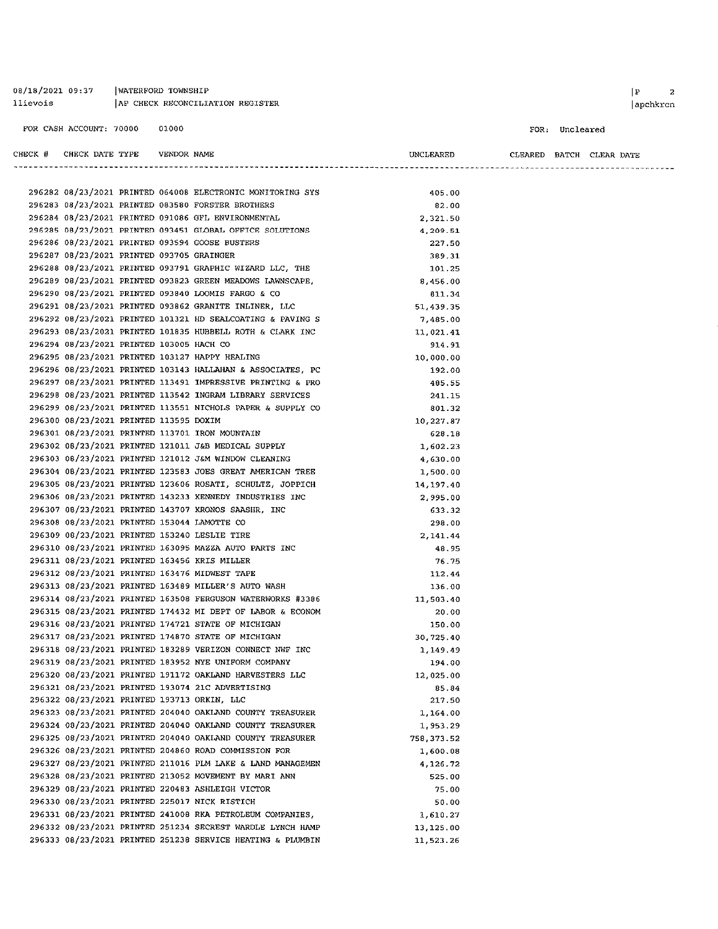| 08/18/2021 09:37 | WATERFORD TOWNSHIP               |
|------------------|----------------------------------|
| llievois         | AP CHECK RECONCILIATION REGISTER |

#### FOR: Uncleared

| CHECK # CHECK DATE TYPE VENDOR NAME       |  |                                                                                                                 | UNCLEARED  |  | CLEARED BATCH CLEAR DATE |
|-------------------------------------------|--|-----------------------------------------------------------------------------------------------------------------|------------|--|--------------------------|
|                                           |  |                                                                                                                 |            |  |                          |
|                                           |  | 296282 08/23/2021 PRINTED 064008 ELECTRONIC MONITORING SYS<br>296283 08/23/2021 PRINTED 083580 FORSTER BROTHERS | 405.00     |  |                          |
|                                           |  |                                                                                                                 | 82.00      |  |                          |
|                                           |  | 296284 08/23/2021 PRINTED 091086 GFL ENVIRONMENTAL                                                              | 2,321.50   |  |                          |
|                                           |  | 296285 08/23/2021 PRINTED 093451 GLOBAL OFFICE SOLUTIONS                                                        | 4,209.51   |  |                          |
|                                           |  | 296286 08/23/2021 PRINTED 093594 GOOSE BUSTERS                                                                  | 227.50     |  |                          |
| 296287 08/23/2021 PRINTED 093705 GRAINGER |  |                                                                                                                 | 389.31     |  |                          |
|                                           |  | 296288 08/23/2021 PRINTED 093791 GRAPHIC WIZARD LLC, THE                                                        | 101.25     |  |                          |
|                                           |  | 296289 08/23/2021 PRINTED 093823 GREEN MEADOWS LAWNSCAPE,                                                       | 8,456.00   |  |                          |
|                                           |  | 296290 08/23/2021 PRINTED 093840 LOOMIS FARGO & CO                                                              | 811.34     |  |                          |
|                                           |  | 296291 08/23/2021 PRINTED 093862 GRANITE INLINER, LLC                                                           | 51,439.35  |  |                          |
|                                           |  | 296292 08/23/2021 PRINTED 101321 HD SEALCOATING & PAVING S                                                      | 7,485.00   |  |                          |
|                                           |  | 296293 08/23/2021 PRINTED 101835 HUBBELL ROTH & CLARK INC                                                       | 11,021.41  |  |                          |
| 296294 08/23/2021 PRINTED 103005 HACH CO  |  |                                                                                                                 | 914.91     |  |                          |
|                                           |  | 296295 08/23/2021 PRINTED 103127 HAPPY HEALING                                                                  | 10,000.00  |  |                          |
|                                           |  | 296296 08/23/2021 PRINTED 103143 HALLAHAN & ASSOCIATES, PC                                                      | 192.00     |  |                          |
|                                           |  | 296297 08/23/2021 PRINTED 113491 IMPRESSIVE PRINTING & PRO                                                      | 485.55     |  |                          |
|                                           |  | 296298 08/23/2021 PRINTED 113542 INGRAM LIBRARY SERVICES                                                        | 241.15     |  |                          |
|                                           |  | 296299 08/23/2021 PRINTED 113551 NICHOLS PAPER & SUPPLY CO                                                      | 801.32     |  |                          |
| 296300 08/23/2021 PRINTED 113595 DOXIM    |  |                                                                                                                 | 10,227.87  |  |                          |
|                                           |  | 296301 08/23/2021 PRINTED 113701 IRON MOUNTAIN                                                                  | 628.18     |  |                          |
|                                           |  | 296302 08/23/2021 PRINTED 121011 J&B MEDICAL SUPPLY                                                             | 1,602.23   |  |                          |
|                                           |  | 296303 08/23/2021 PRINTED 121012 J&M WINDOW CLEANING                                                            | 4,630.00   |  |                          |
|                                           |  | 296304 08/23/2021 PRINTED 123583 JOES GREAT AMERICAN TREE                                                       | 1,500.00   |  |                          |
|                                           |  | 296305 08/23/2021 PRINTED 123606 ROSATI, SCHULTZ, JOPPICH                                                       | 14,197.40  |  |                          |
|                                           |  | 296306 08/23/2021 PRINTED 143233 KENNEDY INDUSTRIES INC                                                         | 2,995.00   |  |                          |
|                                           |  | 296307 08/23/2021 PRINTED 143707 KRONOS SAASHR, INC                                                             | 633.32     |  |                          |
|                                           |  | 296308 08/23/2021 PRINTED 153044 LAMOTTE CO                                                                     | 298.00     |  |                          |
|                                           |  | 296309 08/23/2021 PRINTED 153240 LESLIE TIRE                                                                    | 2,141.44   |  |                          |
|                                           |  | 296310 08/23/2021 PRINTED 163095 MAZZA AUTO PARTS INC                                                           | 48.95      |  |                          |
|                                           |  | 296311 08/23/2021 PRINTED 163456 KRIS MILLER                                                                    | 76.75      |  |                          |
|                                           |  | 296312 08/23/2021 PRINTED 163476 MIDWEST TAPE                                                                   | 112.44     |  |                          |
|                                           |  | 296313 08/23/2021 PRINTED 163489 MILLER'S AUTO WASH                                                             | 136.00     |  |                          |
|                                           |  | 296314 08/23/2021 PRINTED 163508 FERGUSON WATERWORKS #3386                                                      | 11,503.40  |  |                          |
|                                           |  | 296315 08/23/2021 PRINTED 174432 MI DEPT OF LABOR & ECONOM                                                      | 20.00      |  |                          |
|                                           |  | 296316 08/23/2021 PRINTED 174721 STATE OF MICHIGAN                                                              | 150.00     |  |                          |
|                                           |  | 296317 08/23/2021 PRINTED 174870 STATE OF MICHIGAN                                                              | 30,725.40  |  |                          |
|                                           |  | 296318 08/23/2021 PRINTED 183289 VERIZON CONNECT NWF INC                                                        | 1,149.49   |  |                          |
|                                           |  | 296319 08/23/2021 PRINTED 183952 NYE UNIFORM COMPANY                                                            | 194.00     |  |                          |
|                                           |  | 296320 08/23/2021 PRINTED 191172 OAKLAND HARVESTERS LLC                                                         | 12,025.00  |  |                          |
|                                           |  | 296321 08/23/2021 PRINTED 193074 21C ADVERTISING                                                                | 85.84      |  |                          |
|                                           |  | 296322 08/23/2021 PRINTED 193713 ORKIN, LLC                                                                     | 217.50     |  |                          |
|                                           |  | 296323 08/23/2021 PRINTED 204040 OAKLAND COUNTY TREASURER                                                       | 1,164.00   |  |                          |
|                                           |  | 296324 08/23/2021 PRINTED 204040 OAKLAND COUNTY TREASURER                                                       | 1,953.29   |  |                          |
|                                           |  | 296325 08/23/2021 PRINTED 204040 OAKLAND COUNTY TREASURER                                                       | 758,373.52 |  |                          |
|                                           |  | 296326 08/23/2021 PRINTED 204860 ROAD COMMISSION FOR                                                            | 1,600.08   |  |                          |
|                                           |  | 296327 08/23/2021 PRINTED 211016 PLM LAKE & LAND MANAGEMEN                                                      | 4,126.72   |  |                          |
|                                           |  | 296328 08/23/2021 PRINTED 213052 MOVEMENT BY MARI ANN                                                           | 525,00     |  |                          |
|                                           |  | 296329 08/23/2021 PRINTED 220483 ASHLEIGH VICTOR                                                                | 75.00      |  |                          |
|                                           |  | 296330 08/23/2021 PRINTED 225017 NICK RISTICH                                                                   | 50.00      |  |                          |
|                                           |  | 296331 08/23/2021 PRINTED 241008 RKA PETROLEUM COMPANIES.                                                       | 1,610.27   |  |                          |
|                                           |  | 296332 08/23/2021 PRINTED 251234 SECREST WARDLE LYNCH HAMP                                                      | 13,125.00  |  |                          |
|                                           |  | 296333 08/23/2021 PRINTED 251238 SERVICE HEATING & PLUMBIN                                                      | 11,523.26  |  |                          |
|                                           |  |                                                                                                                 |            |  |                          |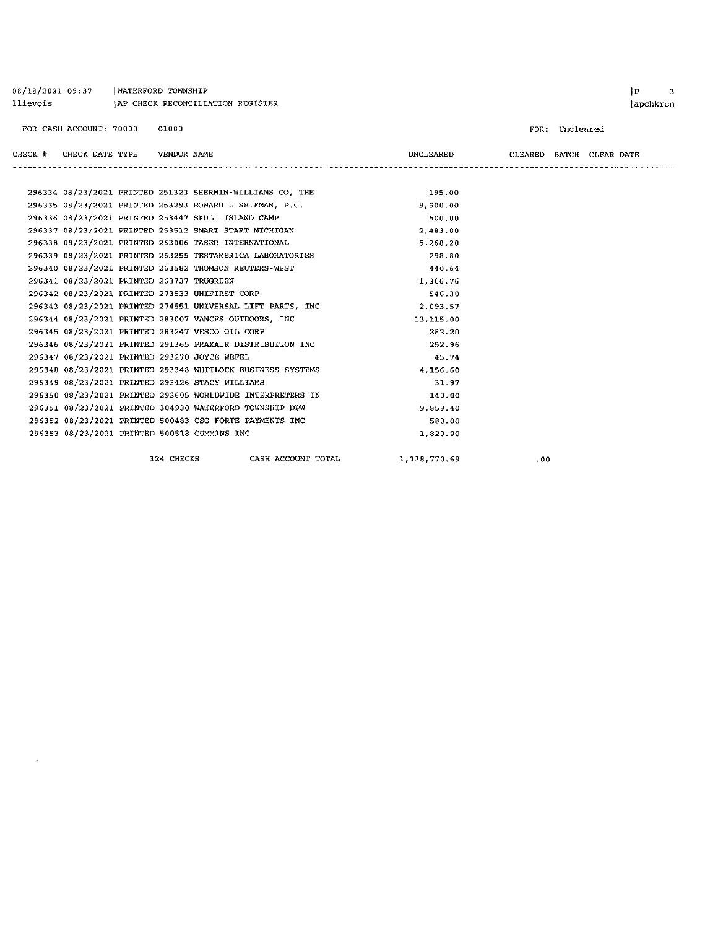| AP CHECK RECONCILIATION REGISTER<br>llievois |                                              |       |  |                                                            | apchkrcn  |                          |                |  |  |  |
|----------------------------------------------|----------------------------------------------|-------|--|------------------------------------------------------------|-----------|--------------------------|----------------|--|--|--|
| FOR CASH ACCOUNT: 70000                      |                                              | 01000 |  |                                                            |           |                          | FOR: Uncleared |  |  |  |
|                                              | CHECK # CHECK DATE TYPE VENDOR NAME          |       |  |                                                            | UNCLEARED | CLEARED BATCH CLEAR DATE |                |  |  |  |
|                                              |                                              |       |  |                                                            |           |                          |                |  |  |  |
|                                              |                                              |       |  | 296334 08/23/2021 PRINTED 251323 SHERWIN-WILLIAMS CO, THE  | 195.00    |                          |                |  |  |  |
|                                              |                                              |       |  | 296335 08/23/2021 PRINTED 253293 HOWARD L SHIFMAN, P.C.    | 9,500.00  |                          |                |  |  |  |
|                                              |                                              |       |  | 296336 08/23/2021 PRINTED 253447 SKULL ISLAND CAMP         | 600.00    |                          |                |  |  |  |
|                                              |                                              |       |  | 296337 08/23/2021 PRINTED 253512 SMART START MICHIGAN      | 2,483.00  |                          |                |  |  |  |
|                                              |                                              |       |  | 296338 08/23/2021 PRINTED 263006 TASER INTERNATIONAL       | 5,268.20  |                          |                |  |  |  |
|                                              |                                              |       |  | 296339 08/23/2021 PRINTED 263255 TESTAMERICA LABORATORIES  | 298.80    |                          |                |  |  |  |
|                                              |                                              |       |  | 296340 08/23/2021 PRINTED 263582 THOMSON REUTERS-WEST      | 440.64    |                          |                |  |  |  |
|                                              | 296341 08/23/2021 PRINTED 263737 TRUGREEN    |       |  |                                                            | 1,306.76  |                          |                |  |  |  |
|                                              |                                              |       |  | 296342 08/23/2021 PRINTED 273533 UNIFIRST CORP             | 546.30    |                          |                |  |  |  |
|                                              |                                              |       |  | 296343 08/23/2021 PRINTED 274551 UNIVERSAL LIFT PARTS, INC | 2,093.57  |                          |                |  |  |  |
|                                              |                                              |       |  | 296344 08/23/2021 PRINTED 283007 VANCES OUTDOORS, INC      | 13,115.00 |                          |                |  |  |  |
|                                              |                                              |       |  | 296345 08/23/2021 PRINTED 283247 VESCO OIL CORP            | 282.20    |                          |                |  |  |  |
|                                              |                                              |       |  | 296346 08/23/2021 PRINTED 291365 PRAXAIR DISTRIBUTION INC  | 252.96    |                          |                |  |  |  |
|                                              | 296347 08/23/2021 PRINTED 293270 JOYCE WEFEL |       |  |                                                            | 45.74     |                          |                |  |  |  |
|                                              |                                              |       |  | 296348 08/23/2021 PRINTED 293348 WHITLOCK BUSINESS SYSTEMS | 4,156.60  |                          |                |  |  |  |
|                                              |                                              |       |  | 296349 08/23/2021 PRINTED 293426 STACY WILLIAMS            | 31.97     |                          |                |  |  |  |
|                                              |                                              |       |  | 296350 08/23/2021 PRINTED 293605 WORLDWIDE INTERPRETERS IN | 140.00    |                          |                |  |  |  |
|                                              |                                              |       |  | 296351 08/23/2021 PRINTED 304930 WATERFORD TOWNSHIP DPW    | 9.859.40  |                          |                |  |  |  |

124 CHECKS CASH ACCOUNT TOTAL 1,138,770.69

296352 08/23/2021 PRINTED 500483 CSG FORTE PAYMENTS INC

296353 08/23/2021 PRINTED 500518 CUMMINS INC

08/18/2021 09:37 | WATERFORD TOWNSHIP

 $.00$ 

580.00

1,820.00

 $|P|$  3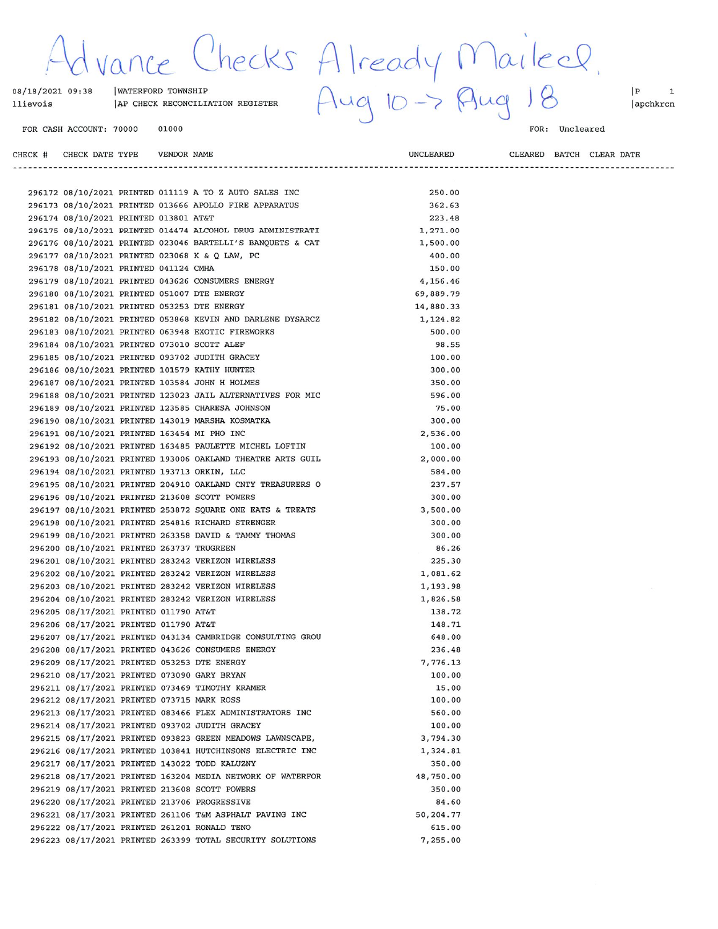Checks Already Maileel.<br>III REGISTER Aug 10-> Aug 18  $\sqrt{\alpha}$ 

**VENDOR NAME** 

#### 08/18/2021 09:38 | WATERFORD TOWNSHIP AP CHECK RECONCILIATION REGISTER llievois

FOR CASH ACCOUNT: 70000 01000

CHECK # CHECK DATE TYPE

FOR: Uncleared

CLEARED BATCH CLEAR DATE

----------------------------------

 ${\small \textbf{UNCLEAREN}}$ 

-----------------------

 $\begin{bmatrix} P & 1 \end{bmatrix}$ apchkrcn

|  |                                             |  | 296172 08/10/2021 PRINTED 011119 A TO Z AUTO SALES INC     | 250.00    |  |
|--|---------------------------------------------|--|------------------------------------------------------------|-----------|--|
|  |                                             |  | 296173 08/10/2021 PRINTED 013666 APOLLO FIRE APPARATUS     | 362.63    |  |
|  | 296174 08/10/2021 PRINTED 013801 AT&T       |  |                                                            | 223.48    |  |
|  |                                             |  | 296175 08/10/2021 PRINTED 014474 ALCOHOL DRUG ADMINISTRATI | 1,271.00  |  |
|  |                                             |  | 296176 08/10/2021 PRINTED 023046 BARTELLI'S BANQUETS & CAT | 1,500.00  |  |
|  |                                             |  | 296177 08/10/2021 PRINTED 023068 K & Q LAW, PC             | 400.00    |  |
|  | 296178 08/10/2021 PRINTED 041124 CMHA       |  |                                                            | 150.00    |  |
|  |                                             |  | 296179 08/10/2021 PRINTED 043626 CONSUMERS ENERGY          | 4,156.46  |  |
|  |                                             |  |                                                            | 69,889.79 |  |
|  | 296180 08/10/2021 PRINTED 051007 DTE ENERGY |  |                                                            |           |  |
|  | 296181 08/10/2021 PRINTED 053253 DTE ENERGY |  |                                                            | 14,880.33 |  |
|  |                                             |  | 296182 08/10/2021 PRINTED 053868 KEVIN AND DARLENE DYSARCZ | 1,124.82  |  |
|  |                                             |  | 296183 08/10/2021 PRINTED 063948 EXOTIC FIREWORKS          | 500.00    |  |
|  | 296184 08/10/2021 PRINTED 073010 SCOTT ALEF |  |                                                            | 98.55     |  |
|  |                                             |  | 296185 08/10/2021 PRINTED 093702 JUDITH GRACEY             | 100.00    |  |
|  |                                             |  | 296186 08/10/2021 PRINTED 101579 KATHY HUNTER              | 300.00    |  |
|  |                                             |  | 296187 08/10/2021 PRINTED 103584 JOHN H HOLMES             | 350.00    |  |
|  |                                             |  | 296188 08/10/2021 PRINTED 123023 JAIL ALTERNATIVES FOR MIC | 596.00    |  |
|  |                                             |  | 296189 08/10/2021 PRINTED 123585 CHARESA JOHNSON           | 75.00     |  |
|  |                                             |  | 296190 08/10/2021 PRINTED 143019 MARSHA KOSMATKA           | 300.00    |  |
|  | 296191 08/10/2021 PRINTED 163454 MI PHO INC |  |                                                            | 2,536.00  |  |
|  |                                             |  | 296192 08/10/2021 PRINTED 163485 PAULETTE MICHEL LOFTIN    | 100.00    |  |
|  |                                             |  | 296193 08/10/2021 PRINTED 193006 OAKLAND THEATRE ARTS GUIL | 2,000.00  |  |
|  | 296194 08/10/2021 PRINTED 193713 ORKIN, LLC |  |                                                            | 584.00    |  |
|  |                                             |  | 296195 08/10/2021 PRINTED 204910 OAKLAND CNTY TREASURERS O | 237.57    |  |
|  |                                             |  | 296196 08/10/2021 PRINTED 213608 SCOTT POWERS              | 300.00    |  |
|  |                                             |  | 296197 08/10/2021 PRINTED 253872 SQUARE ONE EATS & TREATS  | 3,500.00  |  |
|  |                                             |  | 296198 08/10/2021 PRINTED 254816 RICHARD STRENGER          | 300.00    |  |
|  |                                             |  | 296199 08/10/2021 PRINTED 263358 DAVID & TAMMY THOMAS      | 300.00    |  |
|  | 296200 08/10/2021 PRINTED 263737 TRUGREEN   |  |                                                            | 86.26     |  |
|  |                                             |  | 296201 08/10/2021 PRINTED 283242 VERIZON WIRELESS          | 225.30    |  |
|  |                                             |  | 296202 08/10/2021 PRINTED 283242 VERIZON WIRELESS          | 1,081.62  |  |
|  |                                             |  | 296203 08/10/2021 PRINTED 283242 VERIZON WIRELESS          | 1,193.98  |  |
|  |                                             |  | 296204 08/10/2021 PRINTED 283242 VERIZON WIRELESS          | 1,826.58  |  |
|  | 296205 08/17/2021 PRINTED 011790 AT&T       |  |                                                            | 138.72    |  |
|  | 296206 08/17/2021 PRINTED 011790 AT&T       |  |                                                            | 148.71    |  |
|  |                                             |  |                                                            |           |  |
|  |                                             |  | 296207 08/17/2021 PRINTED 043134 CAMBRIDGE CONSULTING GROU | 648.00    |  |
|  |                                             |  | 296208 08/17/2021 PRINTED 043626 CONSUMERS ENERGY          | 236.48    |  |
|  |                                             |  | 296209 08/17/2021 PRINTED 053253 DTE ENERGY                | 7,776.13  |  |
|  |                                             |  | 296210 08/17/2021 PRINTED 073090 GARY BRYAN                | 100.00    |  |
|  |                                             |  | 296211 08/17/2021 PRINTED 073469 TIMOTHY KRAMER            | 15.00     |  |
|  | 296212 08/17/2021 PRINTED 073715 MARK ROSS  |  |                                                            | 100.00    |  |
|  |                                             |  | 296213 08/17/2021 PRINTED 083466 FLEX ADMINISTRATORS INC   | 560.00    |  |
|  |                                             |  | 296214 08/17/2021 PRINTED 093702 JUDITH GRACEY             | 100.00    |  |
|  |                                             |  | 296215 08/17/2021 PRINTED 093823 GREEN MEADOWS LAWNSCAPE,  | 3,794.30  |  |
|  |                                             |  | 296216 08/17/2021 PRINTED 103841 HUTCHINSONS ELECTRIC INC  | 1,324.81  |  |
|  |                                             |  | 296217 08/17/2021 PRINTED 143022 TODD KALUZNY              | 350.00    |  |
|  |                                             |  | 296218 08/17/2021 PRINTED 163204 MEDIA NETWORK OF WATERFOR | 48,750.00 |  |
|  |                                             |  | 296219 08/17/2021 PRINTED 213608 SCOTT POWERS              | 350.00    |  |
|  |                                             |  | 296220 08/17/2021 PRINTED 213706 PROGRESSIVE               | 84.60     |  |
|  |                                             |  | 296221 08/17/2021 PRINTED 261106 T&M ASPHALT PAVING INC    | 50,204.77 |  |
|  |                                             |  | 296222 08/17/2021 PRINTED 261201 RONALD TENO               | 615.00    |  |
|  |                                             |  | 296223 08/17/2021 PRINTED 263399 TOTAL SECURITY SOLUTIONS  | 7,255.00  |  |
|  |                                             |  |                                                            |           |  |